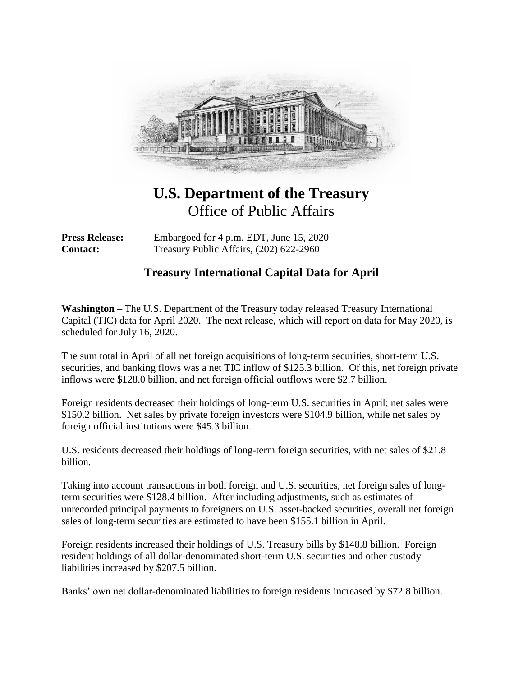

## **U.S. Department of the Treasury** Office of Public Affairs

**Press Release:** Embargoed for 4 p.m. EDT, June 15, 2020 **Contact:** Treasury Public Affairs, (202) 622-2960

## **Treasury International Capital Data for April**

**Washington –** The U.S. Department of the Treasury today released Treasury International Capital (TIC) data for April 2020. The next release, which will report on data for May 2020, is scheduled for July 16, 2020.

The sum total in April of all net foreign acquisitions of long-term securities, short-term U.S. securities, and banking flows was a net TIC inflow of \$125.3 billion. Of this, net foreign private inflows were \$128.0 billion, and net foreign official outflows were \$2.7 billion.

Foreign residents decreased their holdings of long-term U.S. securities in April; net sales were \$150.2 billion. Net sales by private foreign investors were \$104.9 billion, while net sales by foreign official institutions were \$45.3 billion.

U.S. residents decreased their holdings of long-term foreign securities, with net sales of \$21.8 billion.

Taking into account transactions in both foreign and U.S. securities, net foreign sales of longterm securities were \$128.4 billion. After including adjustments, such as estimates of unrecorded principal payments to foreigners on U.S. asset-backed securities, overall net foreign sales of long-term securities are estimated to have been \$155.1 billion in April.

Foreign residents increased their holdings of U.S. Treasury bills by \$148.8 billion. Foreign resident holdings of all dollar-denominated short-term U.S. securities and other custody liabilities increased by \$207.5 billion.

Banks' own net dollar-denominated liabilities to foreign residents increased by \$72.8 billion.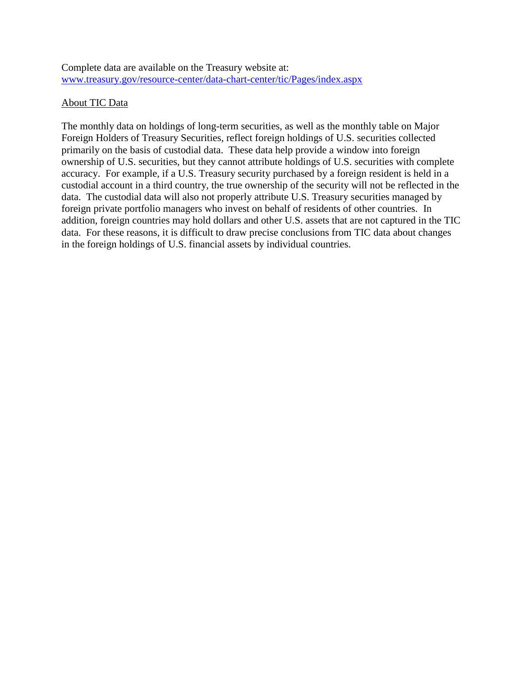Complete data are available on the Treasury website at: [www.treasury.gov/resource-center/data-chart-center/tic/Pages/index.aspx](http://www.treasury.gov/resource-center/data-chart-center/tic/Pages/index.aspx)

## About TIC Data

The monthly data on holdings of long-term securities, as well as the monthly table on Major Foreign Holders of Treasury Securities, reflect foreign holdings of U.S. securities collected primarily on the basis of custodial data. These data help provide a window into foreign ownership of U.S. securities, but they cannot attribute holdings of U.S. securities with complete accuracy. For example, if a U.S. Treasury security purchased by a foreign resident is held in a custodial account in a third country, the true ownership of the security will not be reflected in the data. The custodial data will also not properly attribute U.S. Treasury securities managed by foreign private portfolio managers who invest on behalf of residents of other countries. In addition, foreign countries may hold dollars and other U.S. assets that are not captured in the TIC data. For these reasons, it is difficult to draw precise conclusions from TIC data about changes in the foreign holdings of U.S. financial assets by individual countries.